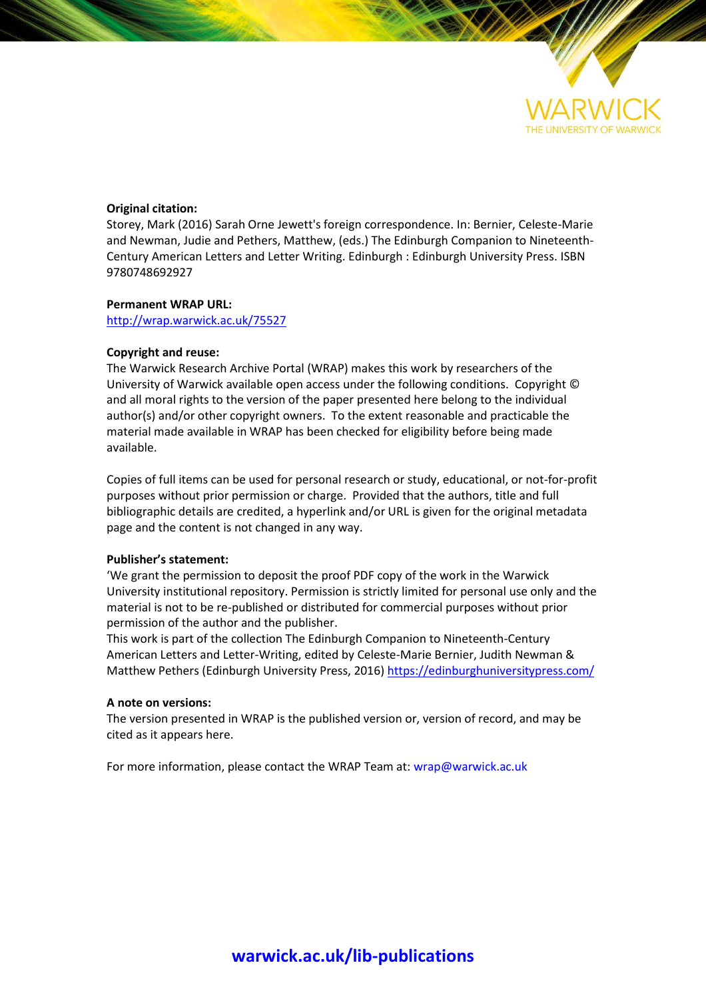

# **Original citation:**

Storey, Mark (2016) Sarah Orne Jewett's foreign correspondence. In: Bernier, Celeste-Marie and Newman, Judie and Pethers, Matthew, (eds.) The Edinburgh Companion to Nineteenth-Century American Letters and Letter Writing. Edinburgh : Edinburgh University Press. ISBN 9780748692927

# **Permanent WRAP URL:**

<http://wrap.warwick.ac.uk/75527>

## **Copyright and reuse:**

The Warwick Research Archive Portal (WRAP) makes this work by researchers of the University of Warwick available open access under the following conditions. Copyright © and all moral rights to the version of the paper presented here belong to the individual author(s) and/or other copyright owners. To the extent reasonable and practicable the material made available in WRAP has been checked for eligibility before being made available.

Copies of full items can be used for personal research or study, educational, or not-for-profit purposes without prior permission or charge. Provided that the authors, title and full bibliographic details are credited, a hyperlink and/or URL is given for the original metadata page and the content is not changed in any way.

## **Publisher's statement:**

'We grant the permission to deposit the proof PDF copy of the work in the Warwick University institutional repository. Permission is strictly limited for personal use only and the material is not to be re-published or distributed for commercial purposes without prior permission of the author and the publisher.

This work is part of the collection The Edinburgh Companion to Nineteenth-Century American Letters and Letter-Writing, edited by Celeste-Marie Bernier, Judith Newman & Matthew Pethers (Edinburgh University Press, 2016[\) https://edinburghuniversitypress.com/](https://edinburghuniversitypress.com/)

### **A note on versions:**

The version presented in WRAP is the published version or, version of record, and may be cited as it appears here.

For more information, please contact the WRAP Team at[: wrap@warwick.ac.uk](mailto:wrap@warwick.ac.uk)

# **[warwick.ac.uk/lib-publications](http://go.warwick.ac.uk/lib-publications)**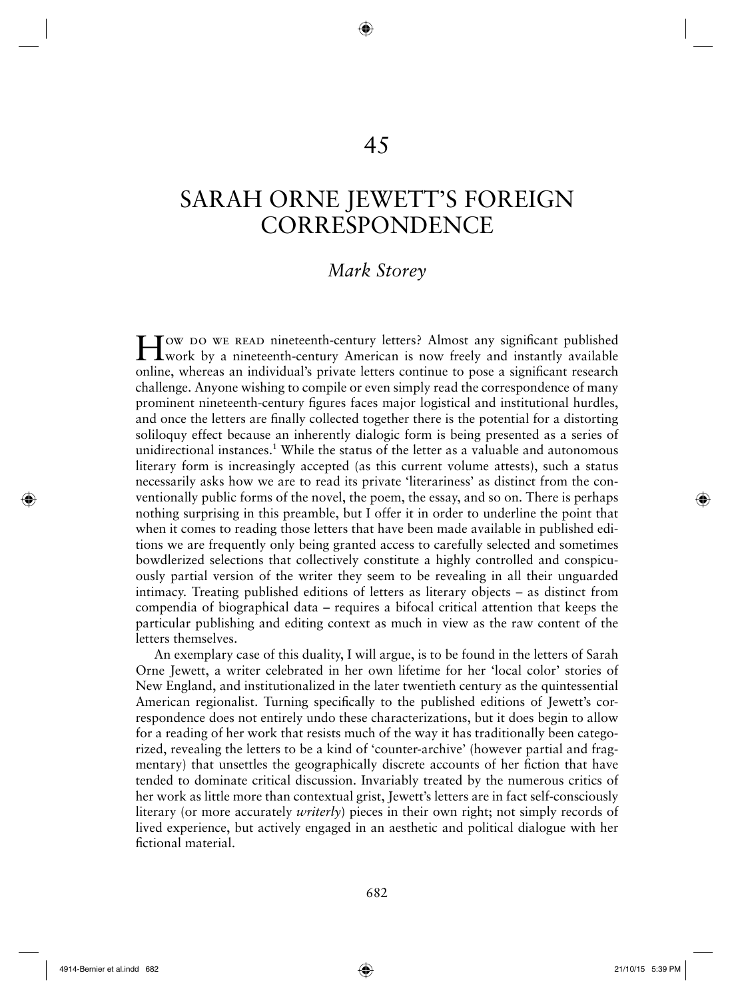# 45

◈

# SARAH ORNE JEWETT'S FOREIGN **CORRESPONDENCE**

# *Mark Storey*

How DO WE READ nineteenth-century letters? Almost any significant published work by a nineteenth-century American is now freely and instantly available online, whereas an individual's private letters continue to pose a significant research challenge. Anyone wishing to compile or even simply read the correspondence of many prominent nineteenth-century figures faces major logistical and institutional hurdles, and once the letters are finally collected together there is the potential for a distorting soliloquy effect because an inherently dialogic form is being presented as a series of unidirectional instances.<sup>1</sup> While the status of the letter as a valuable and autonomous literary form is increasingly accepted (as this current volume attests), such a status necessarily asks how we are to read its private 'literariness' as distinct from the conventionally public forms of the novel, the poem, the essay, and so on. There is perhaps nothing surprising in this preamble, but I offer it in order to underline the point that when it comes to reading those letters that have been made available in published editions we are frequently only being granted access to carefully selected and sometimes bowdlerized selections that collectively constitute a highly controlled and conspicuously partial version of the writer they seem to be revealing in all their unguarded intimacy. Treating published editions of letters as literary objects – as distinct from compendia of biographical data – requires a bifocal critical attention that keeps the particular publishing and editing context as much in view as the raw content of the letters themselves.

An exemplary case of this duality, I will argue, is to be found in the letters of Sarah Orne Jewett, a writer celebrated in her own lifetime for her 'local color' stories of New England, and institutionalized in the later twentieth century as the quintessential American regionalist. Turning specifically to the published editions of Jewett's correspondence does not entirely undo these characterizations, but it does begin to allow for a reading of her work that resists much of the way it has traditionally been categorized, revealing the letters to be a kind of 'counter-archive' (however partial and fragmentary) that unsettles the geographically discrete accounts of her fiction that have tended to dominate critical discussion. Invariably treated by the numerous critics of her work as little more than contextual grist, Jewett's letters are in fact self-consciously literary (or more accurately *writerly*) pieces in their own right; not simply records of lived experience, but actively engaged in an aesthetic and political dialogue with her fictional material.

 $\bigcirc$ 

⊕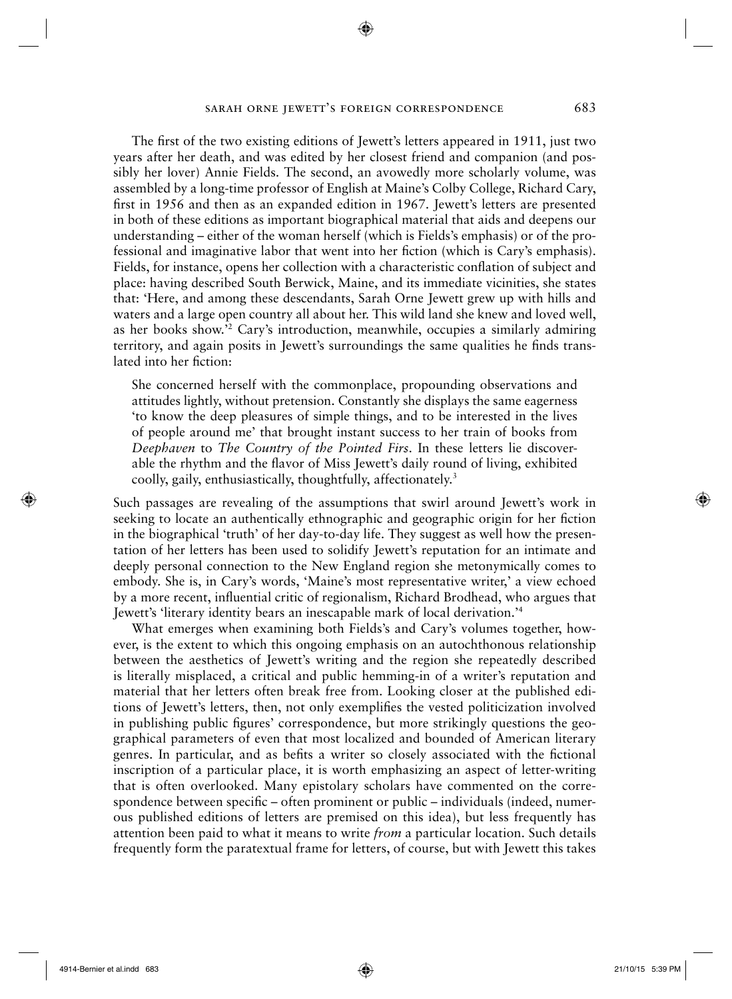◈

The first of the two existing editions of Jewett's letters appeared in 1911, just two years after her death, and was edited by her closest friend and companion (and possibly her lover) Annie Fields. The second, an avowedly more scholarly volume, was assembled by a long-time professor of English at Maine's Colby College, Richard Cary, first in 1956 and then as an expanded edition in 1967. Jewett's letters are presented in both of these editions as important biographical material that aids and deepens our understanding – either of the woman herself (which is Fields's emphasis) or of the professional and imaginative labor that went into her fiction (which is Cary's emphasis). Fields, for instance, opens her collection with a characteristic conflation of subject and place: having described South Berwick, Maine, and its immediate vicinities, she states that: 'Here, and among these descendants, Sarah Orne Jewett grew up with hills and waters and a large open country all about her. This wild land she knew and loved well, as her books show.'2 Cary's introduction, meanwhile, occupies a similarly admiring territory, and again posits in Jewett's surroundings the same qualities he finds translated into her fiction:

She concerned herself with the commonplace, propounding observations and attitudes lightly, without pretension. Constantly she displays the same eagerness 'to know the deep pleasures of simple things, and to be interested in the lives of people around me' that brought instant success to her train of books from *Deephaven* to *The Country of the Pointed Firs*. In these letters lie discoverable the rhythm and the flavor of Miss Jewett's daily round of living, exhibited coolly, gaily, enthusiastically, thoughtfully, affectionately.<sup>3</sup>

Such passages are revealing of the assumptions that swirl around Jewett's work in seeking to locate an authentically ethnographic and geographic origin for her fiction in the biographical 'truth' of her day-to-day life. They suggest as well how the presentation of her letters has been used to solidify Jewett's reputation for an intimate and deeply personal connection to the New England region she metonymically comes to embody. She is, in Cary's words, 'Maine's most representative writer,' a view echoed by a more recent, influential critic of regionalism, Richard Brodhead, who argues that Jewett's 'literary identity bears an inescapable mark of local derivation.'4

What emerges when examining both Fields's and Cary's volumes together, however, is the extent to which this ongoing emphasis on an autochthonous relationship between the aesthetics of Jewett's writing and the region she repeatedly described is literally misplaced, a critical and public hemming-in of a writer's reputation and material that her letters often break free from. Looking closer at the published editions of Jewett's letters, then, not only exemplifies the vested politicization involved in publishing public figures' correspondence, but more strikingly questions the geographical parameters of even that most localized and bounded of American literary genres. In particular, and as befits a writer so closely associated with the fictional inscription of a particular place, it is worth emphasizing an aspect of letter-writing that is often overlooked. Many epistolary scholars have commented on the correspondence between specific – often prominent or public – individuals (indeed, numerous published editions of letters are premised on this idea), but less frequently has attention been paid to what it means to write *from* a particular location. Such details frequently form the paratextual frame for letters, of course, but with Jewett this takes

⊕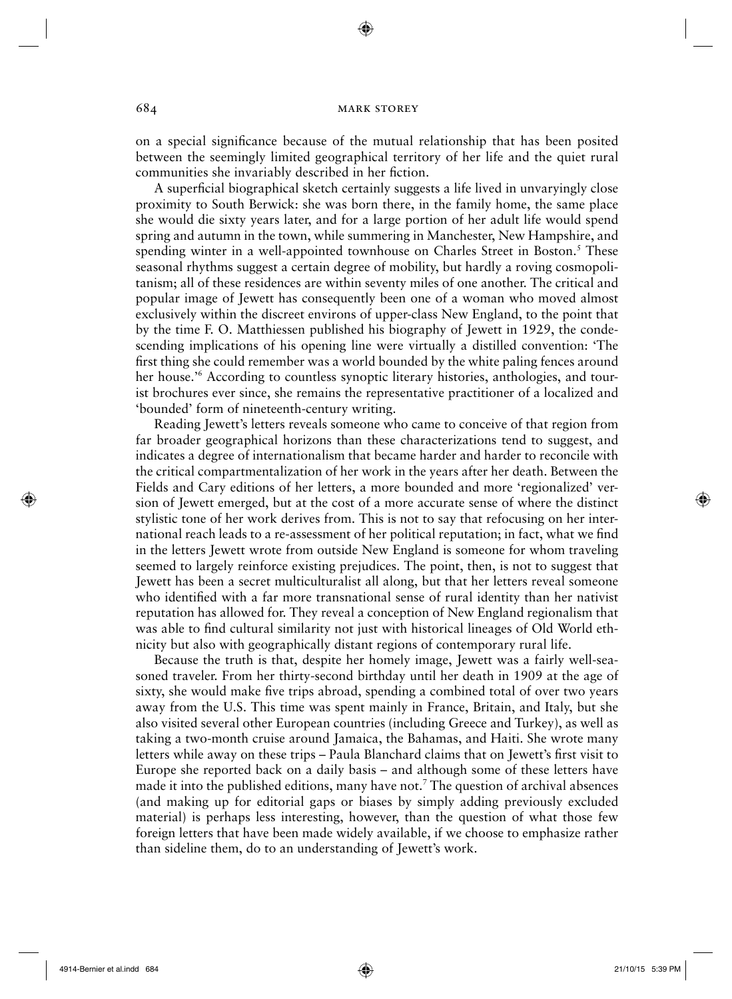◈

on a special significance because of the mutual relationship that has been posited between the seemingly limited geographical territory of her life and the quiet rural communities she invariably described in her fiction.

A superficial biographical sketch certainly suggests a life lived in unvaryingly close proximity to South Berwick: she was born there, in the family home, the same place she would die sixty years later, and for a large portion of her adult life would spend spring and autumn in the town, while summering in Manchester, New Hampshire, and spending winter in a well-appointed townhouse on Charles Street in Boston.<sup>5</sup> These seasonal rhythms suggest a certain degree of mobility, but hardly a roving cosmopolitanism; all of these residences are within seventy miles of one another. The critical and popular image of Jewett has consequently been one of a woman who moved almost exclusively within the discreet environs of upper-class New England, to the point that by the time F. O. Matthiessen published his biography of Jewett in 1929, the condescending implications of his opening line were virtually a distilled convention: 'The first thing she could remember was a world bounded by the white paling fences around her house.'6 According to countless synoptic literary histories, anthologies, and tourist brochures ever since, she remains the representative practitioner of a localized and 'bounded' form of nineteenth-century writing.

Reading Jewett's letters reveals someone who came to conceive of that region from far broader geographical horizons than these characterizations tend to suggest, and indicates a degree of internationalism that became harder and harder to reconcile with the critical compartmentalization of her work in the years after her death. Between the Fields and Cary editions of her letters, a more bounded and more 'regionalized' version of Jewett emerged, but at the cost of a more accurate sense of where the distinct stylistic tone of her work derives from. This is not to say that refocusing on her international reach leads to a re-assessment of her political reputation; in fact, what we find in the letters Jewett wrote from outside New England is someone for whom traveling seemed to largely reinforce existing prejudices. The point, then, is not to suggest that Jewett has been a secret multiculturalist all along, but that her letters reveal someone who identified with a far more transnational sense of rural identity than her nativist reputation has allowed for. They reveal a conception of New England regionalism that was able to find cultural similarity not just with historical lineages of Old World ethnicity but also with geographically distant regions of contemporary rural life.

Because the truth is that, despite her homely image, Jewett was a fairly well-seasoned traveler. From her thirty-second birthday until her death in 1909 at the age of sixty, she would make five trips abroad, spending a combined total of over two years away from the U.S. This time was spent mainly in France, Britain, and Italy, but she also visited several other European countries (including Greece and Turkey), as well as taking a two-month cruise around Jamaica, the Bahamas, and Haiti. She wrote many letters while away on these trips – Paula Blanchard claims that on Jewett's first visit to Europe she reported back on a daily basis – and although some of these letters have made it into the published editions, many have not.<sup>7</sup> The question of archival absences (and making up for editorial gaps or biases by simply adding previously excluded material) is perhaps less interesting, however, than the question of what those few foreign letters that have been made widely available, if we choose to emphasize rather than sideline them, do to an understanding of Jewett's work.

⊕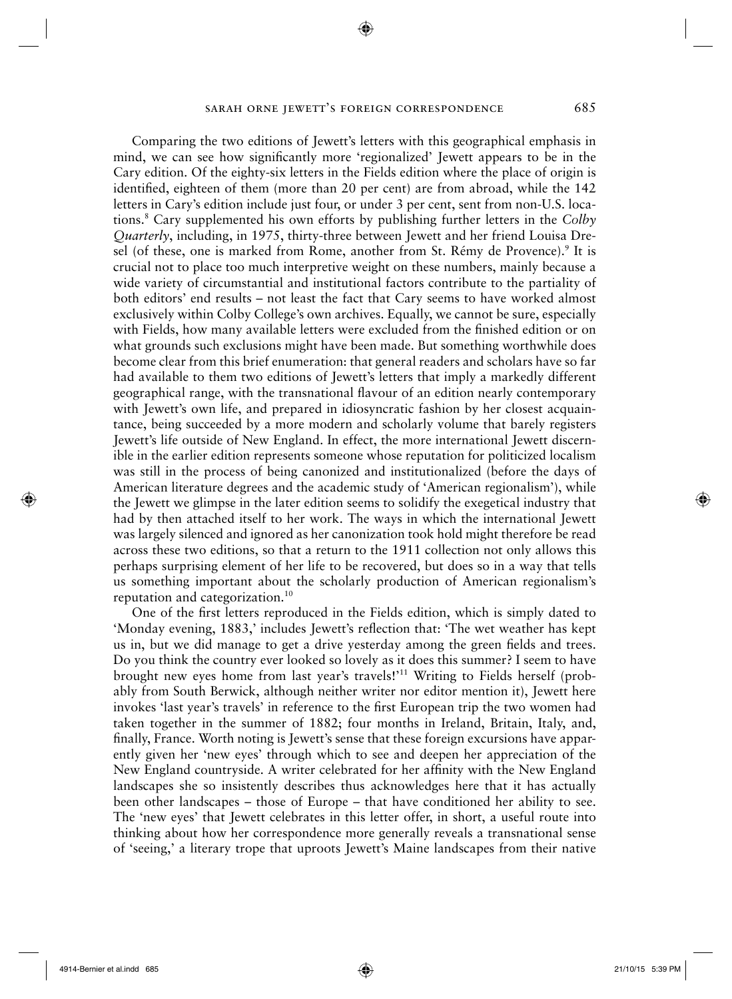◈

Comparing the two editions of Jewett's letters with this geographical emphasis in mind, we can see how significantly more 'regionalized' Jewett appears to be in the Cary edition. Of the eighty-six letters in the Fields edition where the place of origin is identified, eighteen of them (more than 20 per cent) are from abroad, while the 142 letters in Cary's edition include just four, or under 3 per cent, sent from non-U.S. locations.8 Cary supplemented his own efforts by publishing further letters in the *Colby Quarterly*, including, in 1975, thirty-three between Jewett and her friend Louisa Dresel (of these, one is marked from Rome, another from St. Rémy de Provence).<sup>9</sup> It is crucial not to place too much interpretive weight on these numbers, mainly because a wide variety of circumstantial and institutional factors contribute to the partiality of both editors' end results – not least the fact that Cary seems to have worked almost exclusively within Colby College's own archives. Equally, we cannot be sure, especially with Fields, how many available letters were excluded from the finished edition or on what grounds such exclusions might have been made. But something worthwhile does become clear from this brief enumeration: that general readers and scholars have so far had available to them two editions of Jewett's letters that imply a markedly different geographical range, with the transnational flavour of an edition nearly contemporary with Jewett's own life, and prepared in idiosyncratic fashion by her closest acquaintance, being succeeded by a more modern and scholarly volume that barely registers Jewett's life outside of New England. In effect, the more international Jewett discernible in the earlier edition represents someone whose reputation for politicized localism was still in the process of being canonized and institutionalized (before the days of American literature degrees and the academic study of 'American regionalism'), while the Jewett we glimpse in the later edition seems to solidify the exegetical industry that had by then attached itself to her work. The ways in which the international Jewett was largely silenced and ignored as her canonization took hold might therefore be read across these two editions, so that a return to the 1911 collection not only allows this perhaps surprising element of her life to be recovered, but does so in a way that tells us something important about the scholarly production of American regionalism's reputation and categorization.10

One of the first letters reproduced in the Fields edition, which is simply dated to 'Monday evening, 1883,' includes Jewett's reflection that: 'The wet weather has kept us in, but we did manage to get a drive yesterday among the green fields and trees. Do you think the country ever looked so lovely as it does this summer? I seem to have brought new eyes home from last year's travels!'11 Writing to Fields herself (probably from South Berwick, although neither writer nor editor mention it), Jewett here invokes 'last year's travels' in reference to the first European trip the two women had taken together in the summer of 1882; four months in Ireland, Britain, Italy, and, finally, France. Worth noting is Jewett's sense that these foreign excursions have apparently given her 'new eyes' through which to see and deepen her appreciation of the New England countryside. A writer celebrated for her affinity with the New England landscapes she so insistently describes thus acknowledges here that it has actually been other landscapes – those of Europe – that have conditioned her ability to see. The 'new eyes' that Jewett celebrates in this letter offer, in short, a useful route into thinking about how her correspondence more generally reveals a transnational sense of 'seeing,' a literary trope that uproots Jewett's Maine landscapes from their native

⊕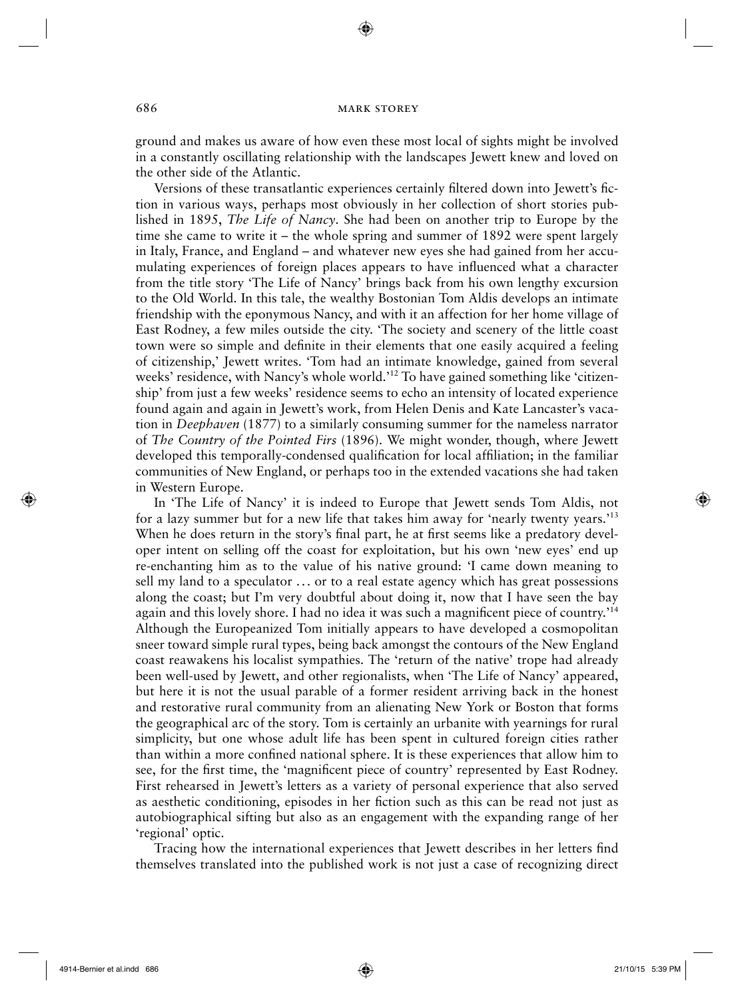◈

ground and makes us aware of how even these most local of sights might be involved in a constantly oscillating relationship with the landscapes Jewett knew and loved on the other side of the Atlantic.

Versions of these transatlantic experiences certainly filtered down into Jewett's fiction in various ways, perhaps most obviously in her collection of short stories published in 1895, *The Life of Nancy*. She had been on another trip to Europe by the time she came to write it – the whole spring and summer of 1892 were spent largely in Italy, France, and England – and whatever new eyes she had gained from her accumulating experiences of foreign places appears to have influenced what a character from the title story 'The Life of Nancy' brings back from his own lengthy excursion to the Old World. In this tale, the wealthy Bostonian Tom Aldis develops an intimate friendship with the eponymous Nancy, and with it an affection for her home village of East Rodney, a few miles outside the city. 'The society and scenery of the little coast town were so simple and definite in their elements that one easily acquired a feeling of citizenship,' Jewett writes. 'Tom had an intimate knowledge, gained from several weeks' residence, with Nancy's whole world.'12 To have gained something like 'citizenship' from just a few weeks' residence seems to echo an intensity of located experience found again and again in Jewett's work, from Helen Denis and Kate Lancaster's vacation in *Deephaven* (1877) to a similarly consuming summer for the nameless narrator of *The Country of the Pointed Firs* (1896). We might wonder, though, where Jewett developed this temporally-condensed qualification for local affiliation; in the familiar communities of New England, or perhaps too in the extended vacations she had taken in Western Europe.

In 'The Life of Nancy' it is indeed to Europe that Jewett sends Tom Aldis, not for a lazy summer but for a new life that takes him away for 'nearly twenty years.'13 When he does return in the story's final part, he at first seems like a predatory developer intent on selling off the coast for exploitation, but his own 'new eyes' end up re-enchanting him as to the value of his native ground: 'I came down meaning to sell my land to a speculator . . . or to a real estate agency which has great possessions along the coast; but I'm very doubtful about doing it, now that I have seen the bay again and this lovely shore. I had no idea it was such a magnificent piece of country.'<sup>14</sup> Although the Europeanized Tom initially appears to have developed a cosmopolitan sneer toward simple rural types, being back amongst the contours of the New England coast reawakens his localist sympathies. The 'return of the native' trope had already been well-used by Jewett, and other regionalists, when 'The Life of Nancy' appeared, but here it is not the usual parable of a former resident arriving back in the honest and restorative rural community from an alienating New York or Boston that forms the geographical arc of the story. Tom is certainly an urbanite with yearnings for rural simplicity, but one whose adult life has been spent in cultured foreign cities rather than within a more confined national sphere. It is these experiences that allow him to see, for the first time, the 'magnificent piece of country' represented by East Rodney. First rehearsed in Jewett's letters as a variety of personal experience that also served as aesthetic conditioning, episodes in her fiction such as this can be read not just as autobiographical sifting but also as an engagement with the expanding range of her 'regional' optic.

Tracing how the international experiences that Jewett describes in her letters find themselves translated into the published work is not just a case of recognizing direct

⊕

⊕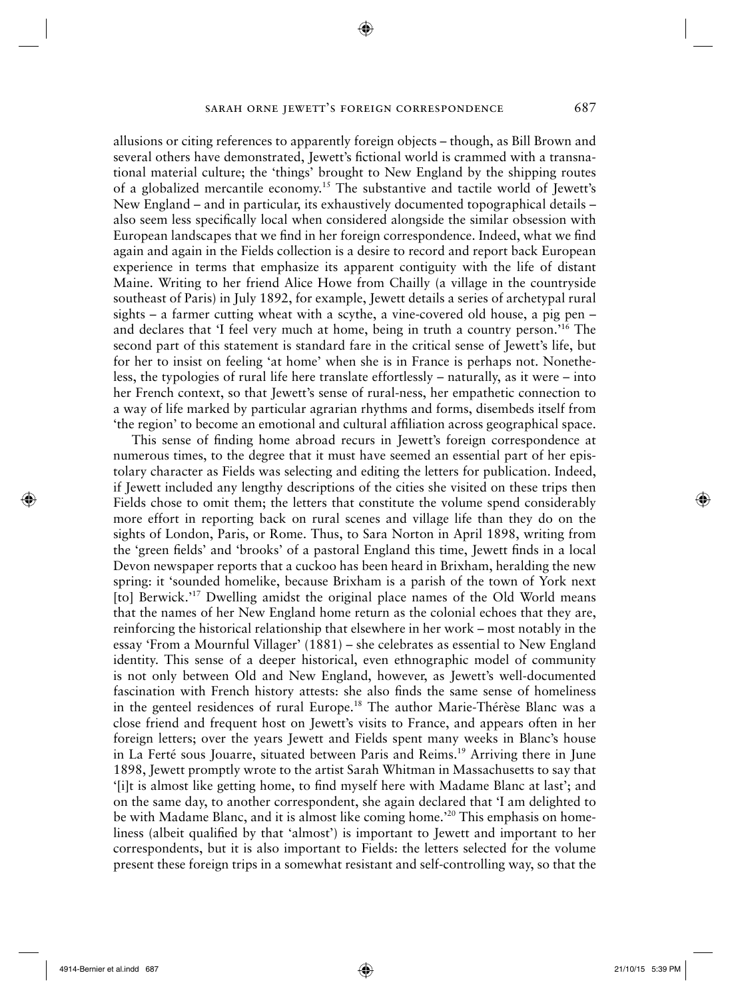◈

allusions or citing references to apparently foreign objects – though, as Bill Brown and several others have demonstrated, Jewett's fictional world is crammed with a transnational material culture; the 'things' brought to New England by the shipping routes of a globalized mercantile economy.15 The substantive and tactile world of Jewett's New England – and in particular, its exhaustively documented topographical details – also seem less specifically local when considered alongside the similar obsession with European landscapes that we find in her foreign correspondence. Indeed, what we find again and again in the Fields collection is a desire to record and report back European experience in terms that emphasize its apparent contiguity with the life of distant Maine. Writing to her friend Alice Howe from Chailly (a village in the countryside southeast of Paris) in July 1892, for example, Jewett details a series of archetypal rural sights – a farmer cutting wheat with a scythe, a vine-covered old house, a pig pen – and declares that 'I feel very much at home, being in truth a country person.'16 The second part of this statement is standard fare in the critical sense of Jewett's life, but for her to insist on feeling 'at home' when she is in France is perhaps not. Nonetheless, the typologies of rural life here translate effortlessly – naturally, as it were – into her French context, so that Jewett's sense of rural-ness, her empathetic connection to a way of life marked by particular agrarian rhythms and forms, disembeds itself from 'the region' to become an emotional and cultural affiliation across geographical space.

This sense of finding home abroad recurs in Jewett's foreign correspondence at numerous times, to the degree that it must have seemed an essential part of her epistolary character as Fields was selecting and editing the letters for publication. Indeed, if Jewett included any lengthy descriptions of the cities she visited on these trips then Fields chose to omit them; the letters that constitute the volume spend considerably more effort in reporting back on rural scenes and village life than they do on the sights of London, Paris, or Rome. Thus, to Sara Norton in April 1898, writing from the 'green fields' and 'brooks' of a pastoral England this time, Jewett finds in a local Devon newspaper reports that a cuckoo has been heard in Brixham, heralding the new spring: it 'sounded homelike, because Brixham is a parish of the town of York next [to] Berwick.'<sup>17</sup> Dwelling amidst the original place names of the Old World means that the names of her New England home return as the colonial echoes that they are, reinforcing the historical relationship that elsewhere in her work – most notably in the essay 'From a Mournful Villager' (1881) – she celebrates as essential to New England identity. This sense of a deeper historical, even ethnographic model of community is not only between Old and New England, however, as Jewett's well-documented fascination with French history attests: she also finds the same sense of homeliness in the genteel residences of rural Europe.<sup>18</sup> The author Marie-Thérèse Blanc was a close friend and frequent host on Jewett's visits to France, and appears often in her foreign letters; over the years Jewett and Fields spent many weeks in Blanc's house in La Ferté sous Jouarre, situated between Paris and Reims.<sup>19</sup> Arriving there in June 1898, Jewett promptly wrote to the artist Sarah Whitman in Massachusetts to say that 'filt is almost like getting home, to find myself here with Madame Blanc at last'; and on the same day, to another correspondent, she again declared that 'I am delighted to be with Madame Blanc, and it is almost like coming home.'20 This emphasis on homeliness (albeit qualified by that 'almost') is important to Jewett and important to her correspondents, but it is also important to Fields: the letters selected for the volume present these foreign trips in a somewhat resistant and self-controlling way, so that the

 $\bigcirc$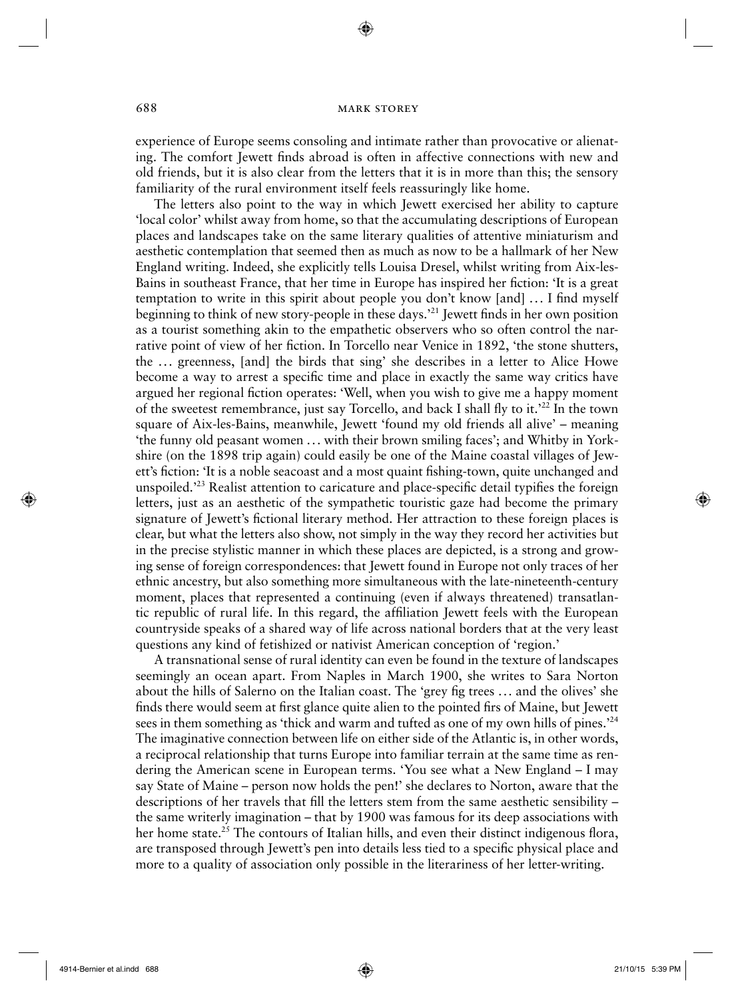◈

experience of Europe seems consoling and intimate rather than provocative or alienating. The comfort Jewett finds abroad is often in affective connections with new and old friends, but it is also clear from the letters that it is in more than this; the sensory familiarity of the rural environment itself feels reassuringly like home.

The letters also point to the way in which Jewett exercised her ability to capture 'local color' whilst away from home, so that the accumulating descriptions of European places and landscapes take on the same literary qualities of attentive miniaturism and aesthetic contemplation that seemed then as much as now to be a hallmark of her New England writing. Indeed, she explicitly tells Louisa Dresel, whilst writing from Aix-les-Bains in southeast France, that her time in Europe has inspired her fiction: 'It is a great temptation to write in this spirit about people you don't know [and]  $\dots$  I find myself beginning to think of new story-people in these days.<sup>21</sup> Jewett finds in her own position as a tourist something akin to the empathetic observers who so often control the narrative point of view of her fiction. In Torcello near Venice in 1892, 'the stone shutters, the . . . greenness, [and] the birds that sing' she describes in a letter to Alice Howe become a way to arrest a specific time and place in exactly the same way critics have argued her regional fiction operates: 'Well, when you wish to give me a happy moment of the sweetest remembrance, just say Torcello, and back I shall fly to it.<sup>222</sup> In the town square of Aix-les-Bains, meanwhile, Jewett 'found my old friends all alive' – meaning 'the funny old peasant women . . . with their brown smiling faces'; and Whitby in Yorkshire (on the 1898 trip again) could easily be one of the Maine coastal villages of Jewett's fiction: 'It is a noble seacoast and a most quaint fishing-town, quite unchanged and unspoiled.<sup>23</sup> Realist attention to caricature and place-specific detail typifies the foreign letters, just as an aesthetic of the sympathetic touristic gaze had become the primary signature of Jewett's fictional literary method. Her attraction to these foreign places is clear, but what the letters also show, not simply in the way they record her activities but in the precise stylistic manner in which these places are depicted, is a strong and growing sense of foreign correspondences: that Jewett found in Europe not only traces of her ethnic ancestry, but also something more simultaneous with the late-nineteenth-century moment, places that represented a continuing (even if always threatened) transatlantic republic of rural life. In this regard, the affiliation Jewett feels with the European countryside speaks of a shared way of life across national borders that at the very least questions any kind of fetishized or nativist American conception of 'region.'

A transnational sense of rural identity can even be found in the texture of landscapes seemingly an ocean apart. From Naples in March 1900, she writes to Sara Norton about the hills of Salerno on the Italian coast. The 'grey fig trees  $\dots$  and the olives' she finds there would seem at first glance quite alien to the pointed firs of Maine, but Jewett sees in them something as 'thick and warm and tufted as one of my own hills of pines.<sup>224</sup> The imaginative connection between life on either side of the Atlantic is, in other words, a reciprocal relationship that turns Europe into familiar terrain at the same time as rendering the American scene in European terms. 'You see what a New England – I may say State of Maine – person now holds the pen!' she declares to Norton, aware that the descriptions of her travels that fill the letters stem from the same aesthetic sensibility  $$ the same writerly imagination – that by 1900 was famous for its deep associations with her home state.<sup>25</sup> The contours of Italian hills, and even their distinct indigenous flora, are transposed through Jewett's pen into details less tied to a specific physical place and more to a quality of association only possible in the literariness of her letter-writing.

⊕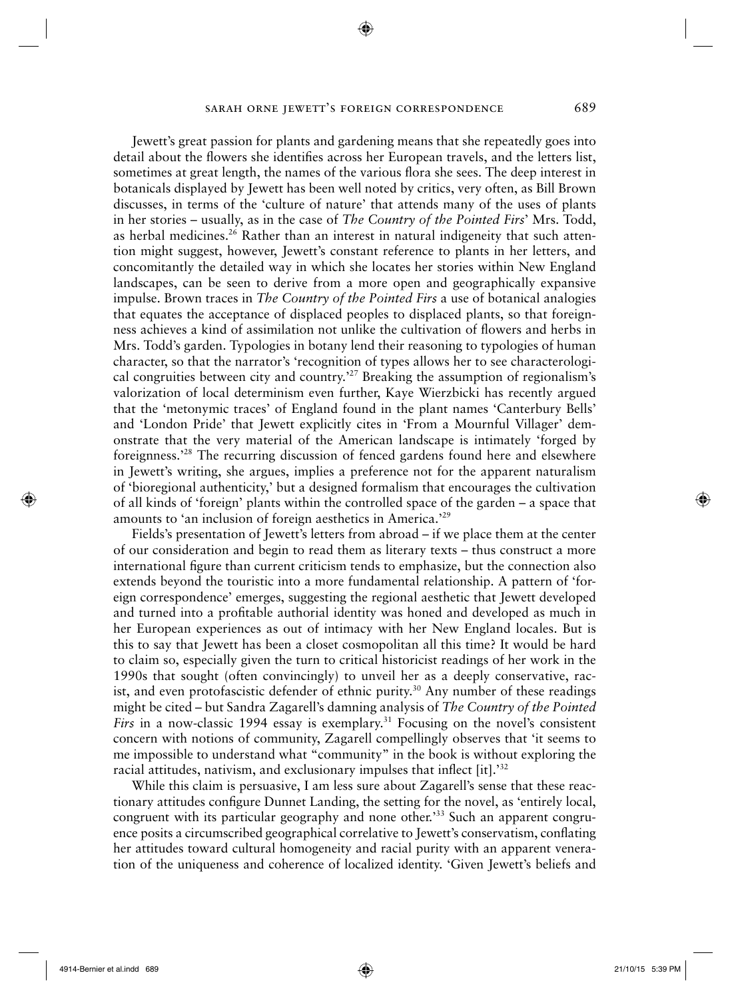◈

Jewett's great passion for plants and gardening means that she repeatedly goes into detail about the flowers she identifies across her European travels, and the letters list, sometimes at great length, the names of the various flora she sees. The deep interest in botanicals displayed by Jewett has been well noted by critics, very often, as Bill Brown discusses, in terms of the 'culture of nature' that attends many of the uses of plants in her stories – usually, as in the case of *The Country of the Pointed Firs*' Mrs. Todd, as herbal medicines.<sup>26</sup> Rather than an interest in natural indigeneity that such attention might suggest, however, Jewett's constant reference to plants in her letters, and concomitantly the detailed way in which she locates her stories within New England landscapes, can be seen to derive from a more open and geographically expansive impulse. Brown traces in *The Country of the Pointed Firs* a use of botanical analogies that equates the acceptance of displaced peoples to displaced plants, so that foreignness achieves a kind of assimilation not unlike the cultivation of flowers and herbs in Mrs. Todd's garden. Typologies in botany lend their reasoning to typologies of human character, so that the narrator's 'recognition of types allows her to see characterological congruities between city and country.'27 Breaking the assumption of regionalism's valorization of local determinism even further, Kaye Wierzbicki has recently argued that the 'metonymic traces' of England found in the plant names 'Canterbury Bells' and 'London Pride' that Jewett explicitly cites in 'From a Mournful Villager' demonstrate that the very material of the American landscape is intimately 'forged by foreignness.'28 The recurring discussion of fenced gardens found here and elsewhere in Jewett's writing, she argues, implies a preference not for the apparent naturalism of 'bioregional authenticity,' but a designed formalism that encourages the cultivation of all kinds of 'foreign' plants within the controlled space of the garden – a space that amounts to 'an inclusion of foreign aesthetics in America.'29

Fields's presentation of Jewett's letters from abroad – if we place them at the center of our consideration and begin to read them as literary texts – thus construct a more international figure than current criticism tends to emphasize, but the connection also extends beyond the touristic into a more fundamental relationship. A pattern of 'foreign correspondence' emerges, suggesting the regional aesthetic that Jewett developed and turned into a profitable authorial identity was honed and developed as much in her European experiences as out of intimacy with her New England locales. But is this to say that Jewett has been a closet cosmopolitan all this time? It would be hard to claim so, especially given the turn to critical historicist readings of her work in the 1990s that sought (often convincingly) to unveil her as a deeply conservative, racist, and even protofascistic defender of ethnic purity.<sup>30</sup> Any number of these readings might be cited – but Sandra Zagarell's damning analysis of *The Country of the Pointed Firs* in a now-classic 1994 essay is exemplary.<sup>31</sup> Focusing on the novel's consistent concern with notions of community, Zagarell compellingly observes that 'it seems to me impossible to understand what "community" in the book is without exploring the racial attitudes, nativism, and exclusionary impulses that inflect [it].'32

While this claim is persuasive, I am less sure about Zagarell's sense that these reactionary attitudes configure Dunnet Landing, the setting for the novel, as 'entirely local, congruent with its particular geography and none other.<sup>33</sup> Such an apparent congruence posits a circumscribed geographical correlative to Jewett's conservatism, conflating her attitudes toward cultural homogeneity and racial purity with an apparent veneration of the uniqueness and coherence of localized identity. 'Given Jewett's beliefs and

 $\bigcirc$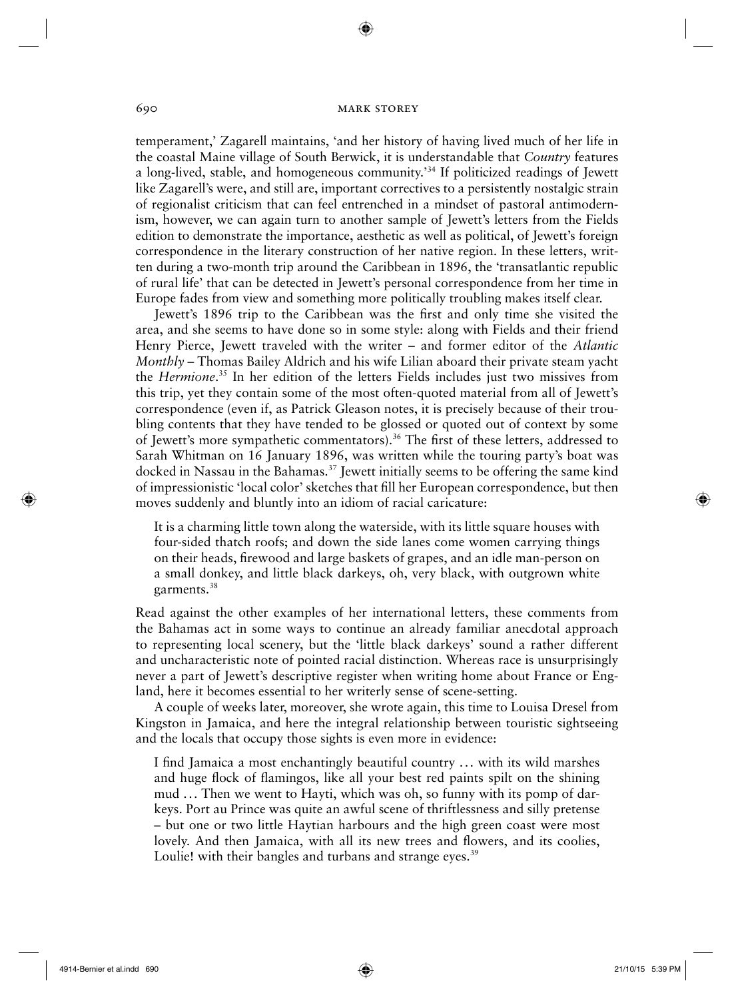⊕

temperament,' Zagarell maintains, 'and her history of having lived much of her life in the coastal Maine village of South Berwick, it is understandable that *Country* features a long-lived, stable, and homogeneous community.<sup>34</sup> If politicized readings of Jewett like Zagarell's were, and still are, important correctives to a persistently nostalgic strain of regionalist criticism that can feel entrenched in a mindset of pastoral antimodernism, however, we can again turn to another sample of Jewett's letters from the Fields edition to demonstrate the importance, aesthetic as well as political, of Jewett's foreign correspondence in the literary construction of her native region. In these letters, written during a two-month trip around the Caribbean in 1896, the 'transatlantic republic of rural life' that can be detected in Jewett's personal correspondence from her time in Europe fades from view and something more politically troubling makes itself clear.

Jewett's 1896 trip to the Caribbean was the first and only time she visited the area, and she seems to have done so in some style: along with Fields and their friend Henry Pierce, Jewett traveled with the writer – and former editor of the *Atlantic Monthly* – Thomas Bailey Aldrich and his wife Lilian aboard their private steam yacht the *Hermione*. 35 In her edition of the letters Fields includes just two missives from this trip, yet they contain some of the most often-quoted material from all of Jewett's correspondence (even if, as Patrick Gleason notes, it is precisely because of their troubling contents that they have tended to be glossed or quoted out of context by some of Jewett's more sympathetic commentators).<sup>36</sup> The first of these letters, addressed to Sarah Whitman on 16 January 1896, was written while the touring party's boat was docked in Nassau in the Bahamas.<sup>37</sup> Jewett initially seems to be offering the same kind of impressionistic 'local color' sketches that fill her European correspondence, but then moves suddenly and bluntly into an idiom of racial caricature:

It is a charming little town along the waterside, with its little square houses with four-sided thatch roofs; and down the side lanes come women carrying things on their heads, firewood and large baskets of grapes, and an idle man-person on a small donkey, and little black darkeys, oh, very black, with outgrown white garments.<sup>38</sup>

Read against the other examples of her international letters, these comments from the Bahamas act in some ways to continue an already familiar anecdotal approach to representing local scenery, but the 'little black darkeys' sound a rather different and uncharacteristic note of pointed racial distinction. Whereas race is unsurprisingly never a part of Jewett's descriptive register when writing home about France or England, here it becomes essential to her writerly sense of scene-setting.

A couple of weeks later, moreover, she wrote again, this time to Louisa Dresel from Kingston in Jamaica, and here the integral relationship between touristic sightseeing and the locals that occupy those sights is even more in evidence:

I find Jamaica a most enchantingly beautiful country ... with its wild marshes and huge flock of flamingos, like all your best red paints spilt on the shining mud ... Then we went to Hayti, which was oh, so funny with its pomp of darkeys. Port au Prince was quite an awful scene of thriftlessness and silly pretense – but one or two little Haytian harbours and the high green coast were most lovely. And then Jamaica, with all its new trees and flowers, and its coolies, Loulie! with their bangles and turbans and strange eyes.<sup>39</sup>

⊕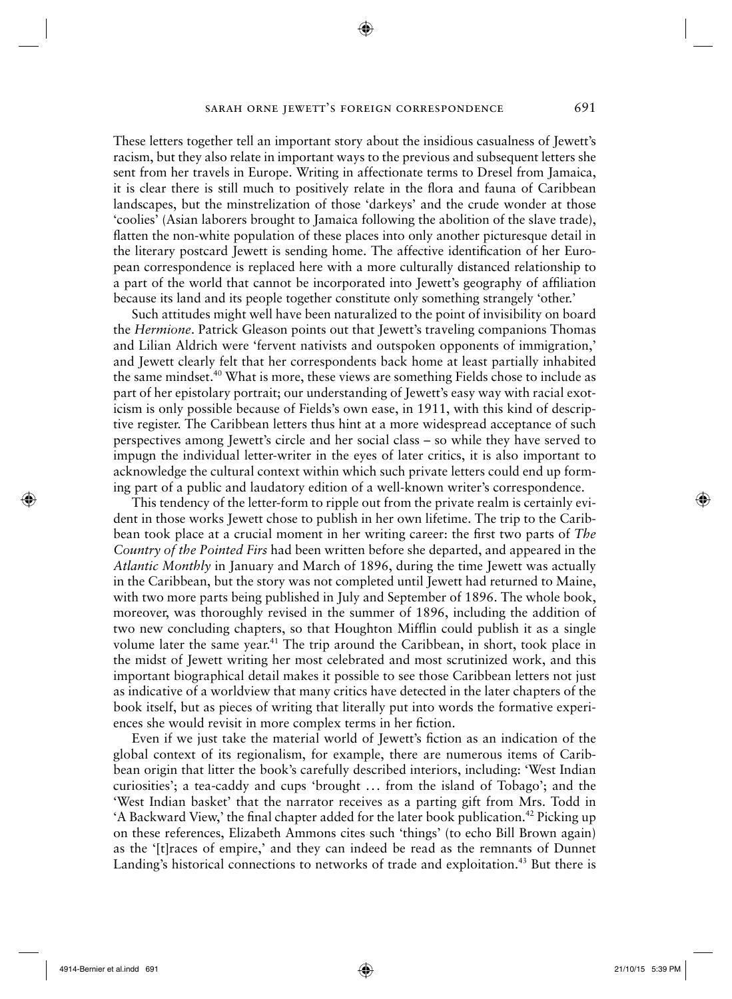◈

These letters together tell an important story about the insidious casualness of Jewett's racism, but they also relate in important ways to the previous and subsequent letters she sent from her travels in Europe. Writing in affectionate terms to Dresel from Jamaica, it is clear there is still much to positively relate in the flora and fauna of Caribbean landscapes, but the minstrelization of those 'darkeys' and the crude wonder at those 'coolies' (Asian laborers brought to Jamaica following the abolition of the slave trade), flatten the non-white population of these places into only another picturesque detail in the literary postcard Jewett is sending home. The affective identification of her European correspondence is replaced here with a more culturally distanced relationship to a part of the world that cannot be incorporated into Jewett's geography of affiliation because its land and its people together constitute only something strangely 'other.'

Such attitudes might well have been naturalized to the point of invisibility on board the *Hermione*. Patrick Gleason points out that Jewett's traveling companions Thomas and Lilian Aldrich were 'fervent nativists and outspoken opponents of immigration,' and Jewett clearly felt that her correspondents back home at least partially inhabited the same mindset.40 What is more, these views are something Fields chose to include as part of her epistolary portrait; our understanding of Jewett's easy way with racial exoticism is only possible because of Fields's own ease, in 1911, with this kind of descriptive register. The Caribbean letters thus hint at a more widespread acceptance of such perspectives among Jewett's circle and her social class – so while they have served to impugn the individual letter-writer in the eyes of later critics, it is also important to acknowledge the cultural context within which such private letters could end up forming part of a public and laudatory edition of a well-known writer's correspondence.

This tendency of the letter-form to ripple out from the private realm is certainly evident in those works Jewett chose to publish in her own lifetime. The trip to the Caribbean took place at a crucial moment in her writing career: the first two parts of *The Country of the Pointed Firs* had been written before she departed, and appeared in the *Atlantic Monthly* in January and March of 1896, during the time Jewett was actually in the Caribbean, but the story was not completed until Jewett had returned to Maine, with two more parts being published in July and September of 1896. The whole book, moreover, was thoroughly revised in the summer of 1896, including the addition of two new concluding chapters, so that Houghton Mifflin could publish it as a single volume later the same year.<sup>41</sup> The trip around the Caribbean, in short, took place in the midst of Jewett writing her most celebrated and most scrutinized work, and this important biographical detail makes it possible to see those Caribbean letters not just as indicative of a worldview that many critics have detected in the later chapters of the book itself, but as pieces of writing that literally put into words the formative experiences she would revisit in more complex terms in her fiction.

Even if we just take the material world of Jewett's fiction as an indication of the global context of its regionalism, for example, there are numerous items of Caribbean origin that litter the book's carefully described interiors, including: 'West Indian curiosities'; a tea-caddy and cups 'brought . . . from the island of Tobago'; and the 'West Indian basket' that the narrator receives as a parting gift from Mrs. Todd in 'A Backward View,' the final chapter added for the later book publication.<sup>42</sup> Picking up on these references, Elizabeth Ammons cites such 'things' (to echo Bill Brown again) as the '[t]races of empire,' and they can indeed be read as the remnants of Dunnet Landing's historical connections to networks of trade and exploitation.<sup>43</sup> But there is

 $\bigcirc$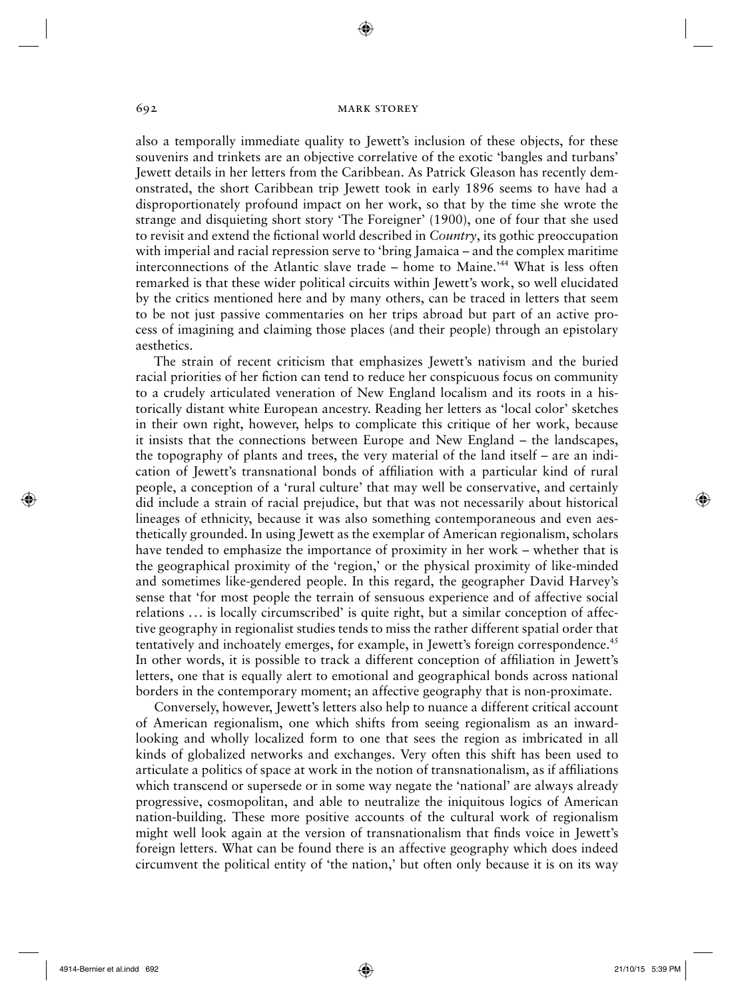◈

also a temporally immediate quality to Jewett's inclusion of these objects, for these souvenirs and trinkets are an objective correlative of the exotic 'bangles and turbans' Jewett details in her letters from the Caribbean. As Patrick Gleason has recently demonstrated, the short Caribbean trip Jewett took in early 1896 seems to have had a disproportionately profound impact on her work, so that by the time she wrote the strange and disquieting short story 'The Foreigner' (1900), one of four that she used to revisit and extend the fictional world described in *Country*, its gothic preoccupation with imperial and racial repression serve to 'bring Jamaica – and the complex maritime interconnections of the Atlantic slave trade – home to Maine.'44 What is less often remarked is that these wider political circuits within Jewett's work, so well elucidated by the critics mentioned here and by many others, can be traced in letters that seem to be not just passive commentaries on her trips abroad but part of an active process of imagining and claiming those places (and their people) through an epistolary aesthetics.

The strain of recent criticism that emphasizes Jewett's nativism and the buried racial priorities of her fiction can tend to reduce her conspicuous focus on community to a crudely articulated veneration of New England localism and its roots in a historically distant white European ancestry. Reading her letters as 'local color' sketches in their own right, however, helps to complicate this critique of her work, because it insists that the connections between Europe and New England – the landscapes, the topography of plants and trees, the very material of the land itself – are an indication of Jewett's transnational bonds of affiliation with a particular kind of rural people, a conception of a 'rural culture' that may well be conservative, and certainly did include a strain of racial prejudice, but that was not necessarily about historical lineages of ethnicity, because it was also something contemporaneous and even aesthetically grounded. In using Jewett as the exemplar of American regionalism, scholars have tended to emphasize the importance of proximity in her work – whether that is the geographical proximity of the 'region,' or the physical proximity of like-minded and sometimes like-gendered people. In this regard, the geographer David Harvey's sense that 'for most people the terrain of sensuous experience and of affective social relations  $\dots$  is locally circumscribed' is quite right, but a similar conception of affective geography in regionalist studies tends to miss the rather different spatial order that tentatively and inchoately emerges, for example, in Jewett's foreign correspondence.<sup>45</sup> In other words, it is possible to track a different conception of affiliation in Jewett's letters, one that is equally alert to emotional and geographical bonds across national borders in the contemporary moment; an affective geography that is non-proximate.

Conversely, however, Jewett's letters also help to nuance a different critical account of American regionalism, one which shifts from seeing regionalism as an inwardlooking and wholly localized form to one that sees the region as imbricated in all kinds of globalized networks and exchanges. Very often this shift has been used to articulate a politics of space at work in the notion of transnationalism, as if affiliations which transcend or supersede or in some way negate the 'national' are always already progressive, cosmopolitan, and able to neutralize the iniquitous logics of American nation-building. These more positive accounts of the cultural work of regionalism might well look again at the version of transnationalism that finds voice in Jewett's foreign letters. What can be found there is an affective geography which does indeed circumvent the political entity of 'the nation,' but often only because it is on its way

⊕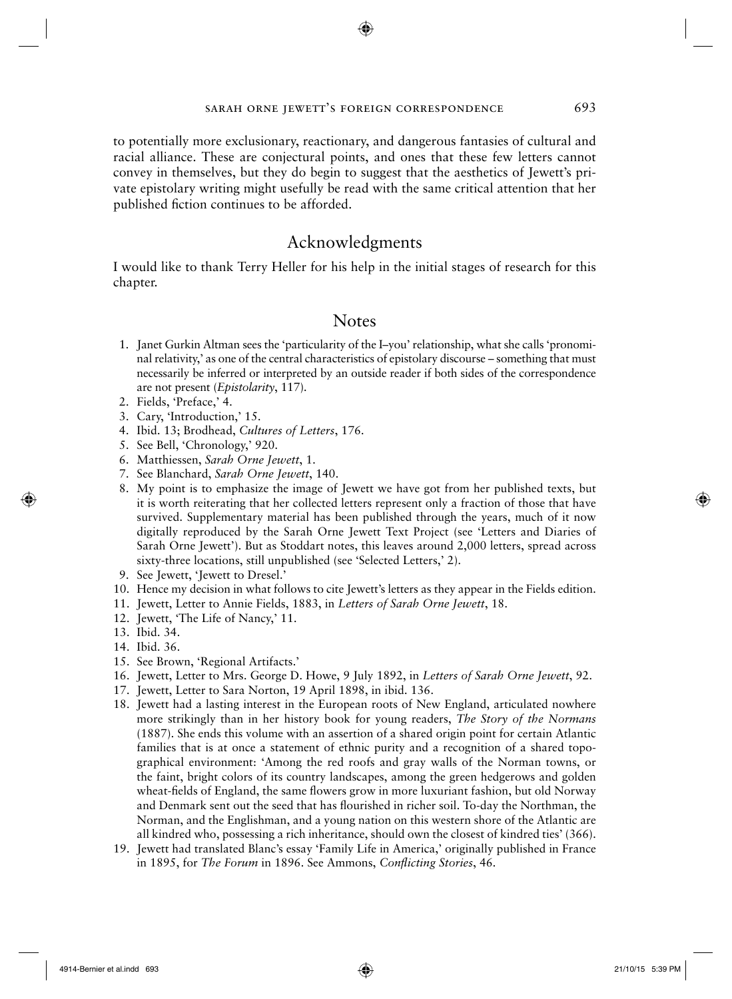◈

to potentially more exclusionary, reactionary, and dangerous fantasies of cultural and racial alliance. These are conjectural points, and ones that these few letters cannot convey in themselves, but they do begin to suggest that the aesthetics of Jewett's private epistolary writing might usefully be read with the same critical attention that her published fiction continues to be afforded.

# Acknowledgments

I would like to thank Terry Heller for his help in the initial stages of research for this chapter.

# **Notes**

- 1. Janet Gurkin Altman sees the 'particularity of the I–you' relationship, what she calls 'pronominal relativity,' as one of the central characteristics of epistolary discourse – something that must necessarily be inferred or interpreted by an outside reader if both sides of the correspondence are not present (*Epistolarity*, 117).
- 2. Fields, 'Preface,' 4.
- 3. Cary, 'Introduction,' 15.
- 4. Ibid. 13; Brodhead, *Cultures of Letters*, 176.
- 5. See Bell, 'Chronology,' 920.
- 6. Matthiessen, *Sarah Orne Jewett*, 1.
- 7. See Blanchard, *Sarah Orne Jewett*, 140.
- 8. My point is to emphasize the image of Jewett we have got from her published texts, but it is worth reiterating that her collected letters represent only a fraction of those that have survived. Supplementary material has been published through the years, much of it now digitally reproduced by the Sarah Orne Jewett Text Project (see 'Letters and Diaries of Sarah Orne Jewett'). But as Stoddart notes, this leaves around 2,000 letters, spread across sixty-three locations, still unpublished (see 'Selected Letters,' 2).
- 9. See Jewett, 'Jewett to Dresel.'
- 10. Hence my decision in what follows to cite Jewett's letters as they appear in the Fields edition.
- 11. Jewett, Letter to Annie Fields, 1883, in *Letters of Sarah Orne Jewett*, 18.
- 12. Jewett, 'The Life of Nancy,' 11.
- 13. Ibid. 34.

⊕

- 14. Ibid. 36.
- 15. See Brown, 'Regional Artifacts.'
- 16. Jewett, Letter to Mrs. George D. Howe, 9 July 1892, in *Letters of Sarah Orne Jewett*, 92.
- 17. Jewett, Letter to Sara Norton, 19 April 1898, in ibid. 136.
- 18. Jewett had a lasting interest in the European roots of New England, articulated nowhere more strikingly than in her history book for young readers, *The Story of the Normans* (1887). She ends this volume with an assertion of a shared origin point for certain Atlantic families that is at once a statement of ethnic purity and a recognition of a shared topographical environment: 'Among the red roofs and gray walls of the Norman towns, or the faint, bright colors of its country landscapes, among the green hedgerows and golden wheat-fields of England, the same flowers grow in more luxuriant fashion, but old Norway and Denmark sent out the seed that has flourished in richer soil. To-day the Northman, the Norman, and the Englishman, and a young nation on this western shore of the Atlantic are all kindred who, possessing a rich inheritance, should own the closest of kindred ties' (366).
- 19. Jewett had translated Blanc's essay 'Family Life in America,' originally published in France in 1895, for *The Forum* in 1896. See Ammons, *Confl icting Stories*, 46.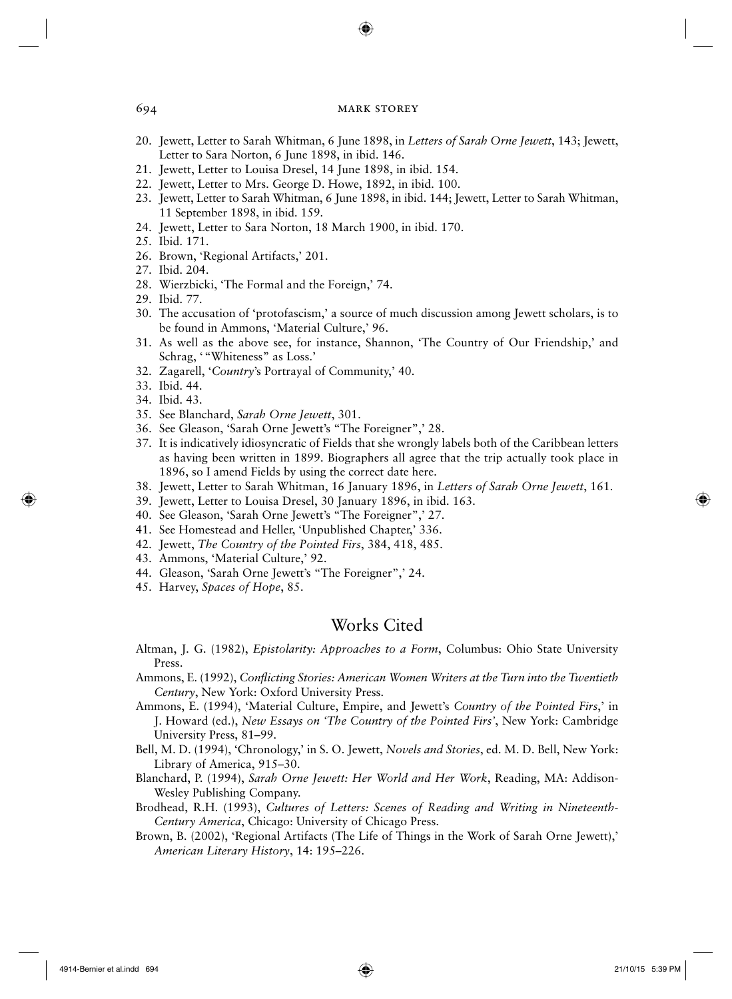◈

- 20. Jewett, Letter to Sarah Whitman, 6 June 1898, in *Letters of Sarah Orne Jewett*, 143; Jewett, Letter to Sara Norton, 6 June 1898, in ibid. 146.
- 21. Jewett, Letter to Louisa Dresel, 14 June 1898, in ibid. 154.
- 22. Jewett, Letter to Mrs. George D. Howe, 1892, in ibid. 100.
- 23. Jewett, Letter to Sarah Whitman, 6 June 1898, in ibid. 144; Jewett, Letter to Sarah Whitman, 11 September 1898, in ibid. 159.
- 24. Jewett, Letter to Sara Norton, 18 March 1900, in ibid. 170.
- 25. Ibid. 171.
- 26. Brown, 'Regional Artifacts,' 201.
- 27. Ibid. 204.
- 28. Wierzbicki, 'The Formal and the Foreign,' 74.
- 29. Ibid. 77.
- 30. The accusation of 'protofascism,' a source of much discussion among Jewett scholars, is to be found in Ammons, 'Material Culture,' 96.
- 31. As well as the above see, for instance, Shannon, 'The Country of Our Friendship,' and Schrag, "Whiteness" as Loss.'
- 32. Zagarell, '*Country*'s Portrayal of Community,' 40.
- 33. Ibid. 44.
- 34. Ibid. 43.

 $\textcolor{blue}{\textcircled{\star}}$ 

- 35. See Blanchard, *Sarah Orne Jewett*, 301.
- 36. See Gleason, 'Sarah Orne Jewett's "The Foreigner",' 28.
- 37. It is indicatively idiosyncratic of Fields that she wrongly labels both of the Caribbean letters as having been written in 1899. Biographers all agree that the trip actually took place in 1896, so I amend Fields by using the correct date here.
- 38. Jewett, Letter to Sarah Whitman, 16 January 1896, in *Letters of Sarah Orne Jewett*, 161.
- 39. Jewett, Letter to Louisa Dresel, 30 January 1896, in ibid. 163.
- 40. See Gleason, 'Sarah Orne Jewett's "The Foreigner",' 27.
- 41. See Homestead and Heller, 'Unpublished Chapter,' 336.
- 42. Jewett, *The Country of the Pointed Firs*, 384, 418, 485.
- 43. Ammons, 'Material Culture,' 92.
- 44. Gleason, 'Sarah Orne Jewett's "The Foreigner",' 24.
- 45. Harvey, *Spaces of Hope*, 85.

# Works Cited

Altman, J. G. (1982), *Epistolarity: Approaches to a Form*, Columbus: Ohio State University Press.

- Ammons, E. (1992), *Conflicting Stories: American Women Writers at the Turn into the Twentieth Century*, New York: Oxford University Press.
- Ammons, E. (1994), 'Material Culture, Empire, and Jewett's *Country of the Pointed Firs*,' in J. Howard (ed.), *New Essays on 'The Country of the Pointed Firs'*, New York: Cambridge University Press, 81–99.
- Bell, M. D. (1994), 'Chronology,' in S. O. Jewett, *Novels and Stories*, ed. M. D. Bell, New York: Library of America, 915–30.
- Blanchard, P. (1994), *Sarah Orne Jewett: Her World and Her Work*, Reading, MA: Addison-Wesley Publishing Company.

Brodhead, R.H. (1993), *Cultures of Letters: Scenes of Reading and Writing in Nineteenth-Century America*, Chicago: University of Chicago Press.

Brown, B. (2002), 'Regional Artifacts (The Life of Things in the Work of Sarah Orne Jewett),' *American Literary History*, 14: 195–226.

⊕